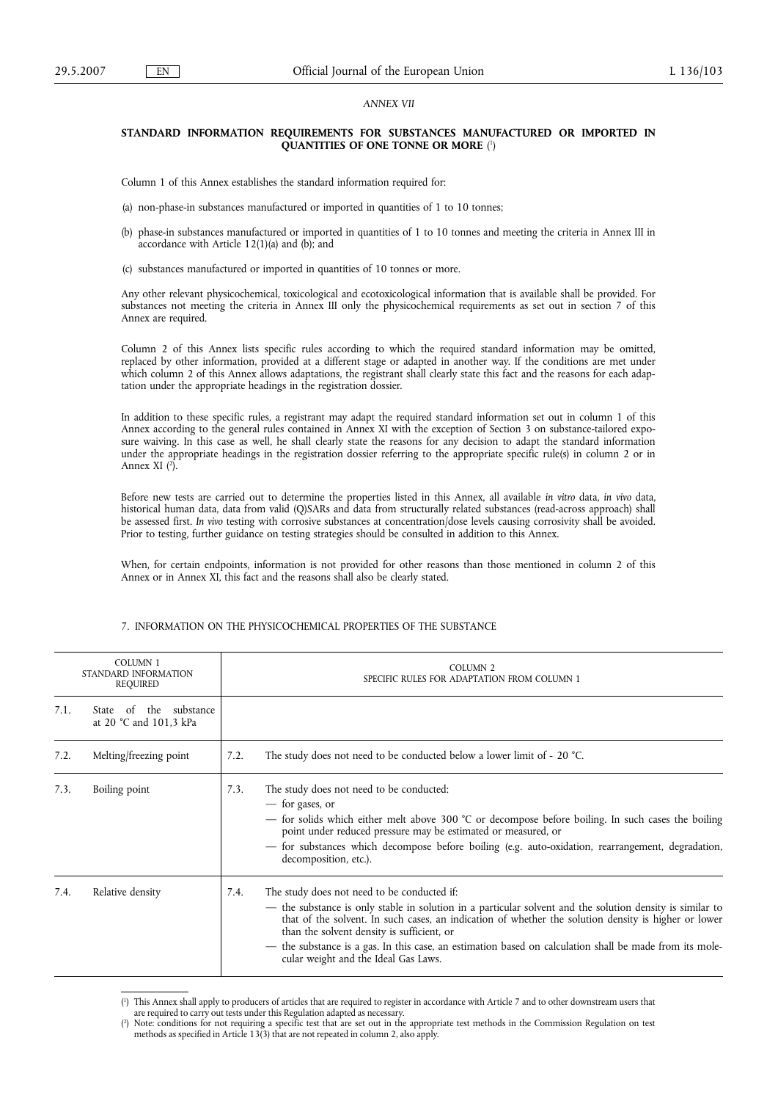### *ANNEX VII*

### **STANDARD INFORMATION REQUIREMENTS FOR SUBSTANCES MANUFACTURED OR IMPORTED IN QUANTITIES OF ONE TONNE OR MORE** ( 1 )

Column 1 of this Annex establishes the standard information required for:

- (a) non-phase-in substances manufactured or imported in quantities of 1 to 10 tonnes;
- (b) phase-in substances manufactured or imported in quantities of 1 to 10 tonnes and meeting the criteria in Annex III in accordance with Article 12(1)(a) and (b); and
- (c) substances manufactured or imported in quantities of 10 tonnes or more.

Any other relevant physicochemical, toxicological and ecotoxicological information that is available shall be provided. For substances not meeting the criteria in Annex III only the physicochemical requirements as set out in section 7 of this Annex are required.

Column 2 of this Annex lists specific rules according to which the required standard information may be omitted, replaced by other information, provided at a different stage or adapted in another way. If the conditions are met under which column 2 of this Annex allows adaptations, the registrant shall clearly state this fact and the reasons for each adaptation under the appropriate headings in the registration dossier.

In addition to these specific rules, a registrant may adapt the required standard information set out in column 1 of this Annex according to the general rules contained in Annex XI with the exception of Section 3 on substance-tailored exposure waiving. In this case as well, he shall clearly state the reasons for any decision to adapt the standard information under the appropriate headings in the registration dossier referring to the appropriate specific rule(s) in column 2 or in Annex XI (<sup>2</sup>).

Before new tests are carried out to determine the properties listed in this Annex, all available *in vitro* data, *in vivo* data, historical human data, data from valid (Q)SARs and data from structurally related substances (read-across approach) shall be assessed first. *In vivo* testing with corrosive substances at concentration/dose levels causing corrosivity shall be avoided. Prior to testing, further guidance on testing strategies should be consulted in addition to this Annex.

When, for certain endpoints, information is not provided for other reasons than those mentioned in column 2 of this Annex or in Annex XI, this fact and the reasons shall also be clearly stated.

| <b>COLUMN 1</b><br>STANDARD INFORMATION<br>REQUIRED |                                                  | COLUMN <sub>2</sub><br>SPECIFIC RULES FOR ADAPTATION FROM COLUMN 1                                                                                                                                                                                                                                                                                                                                                                                                      |  |
|-----------------------------------------------------|--------------------------------------------------|-------------------------------------------------------------------------------------------------------------------------------------------------------------------------------------------------------------------------------------------------------------------------------------------------------------------------------------------------------------------------------------------------------------------------------------------------------------------------|--|
| 7.1.                                                | State of the substance<br>at 20 °C and 101,3 kPa |                                                                                                                                                                                                                                                                                                                                                                                                                                                                         |  |
| 7.2.                                                | Melting/freezing point                           | The study does not need to be conducted below a lower limit of - 20 °C.<br>7.2.                                                                                                                                                                                                                                                                                                                                                                                         |  |
| 7.3.                                                | Boiling point                                    | The study does not need to be conducted:<br>7.3.<br>— for gases, or<br>- for solids which either melt above 300 °C or decompose before boiling. In such cases the boiling<br>point under reduced pressure may be estimated or measured, or<br>- for substances which decompose before boiling (e.g. auto-oxidation, rearrangement, degradation,<br>decomposition, etc.).                                                                                                |  |
| 7.4.                                                | Relative density                                 | The study does not need to be conducted if:<br>7.4.<br>- the substance is only stable in solution in a particular solvent and the solution density is similar to<br>that of the solvent. In such cases, an indication of whether the solution density is higher or lower<br>than the solvent density is sufficient, or<br>the substance is a gas. In this case, an estimation based on calculation shall be made from its mole-<br>cular weight and the Ideal Gas Laws. |  |

#### 7. INFORMATION ON THE PHYSICOCHEMICAL PROPERTIES OF THE SUBSTANCE

<sup>(</sup> 1 ) This Annex shall apply to producers of articles that are required to register in accordance with Article 7 and to other downstream users that

are required to carry out tests under this Regulation adapted as necessary.

<sup>(</sup> 2 ) Note: conditions for not requiring a specific test that are set out in the appropriate test methods in the Commission Regulation on test methods as specified in Article 13(3) that are not repeated in column 2, also apply.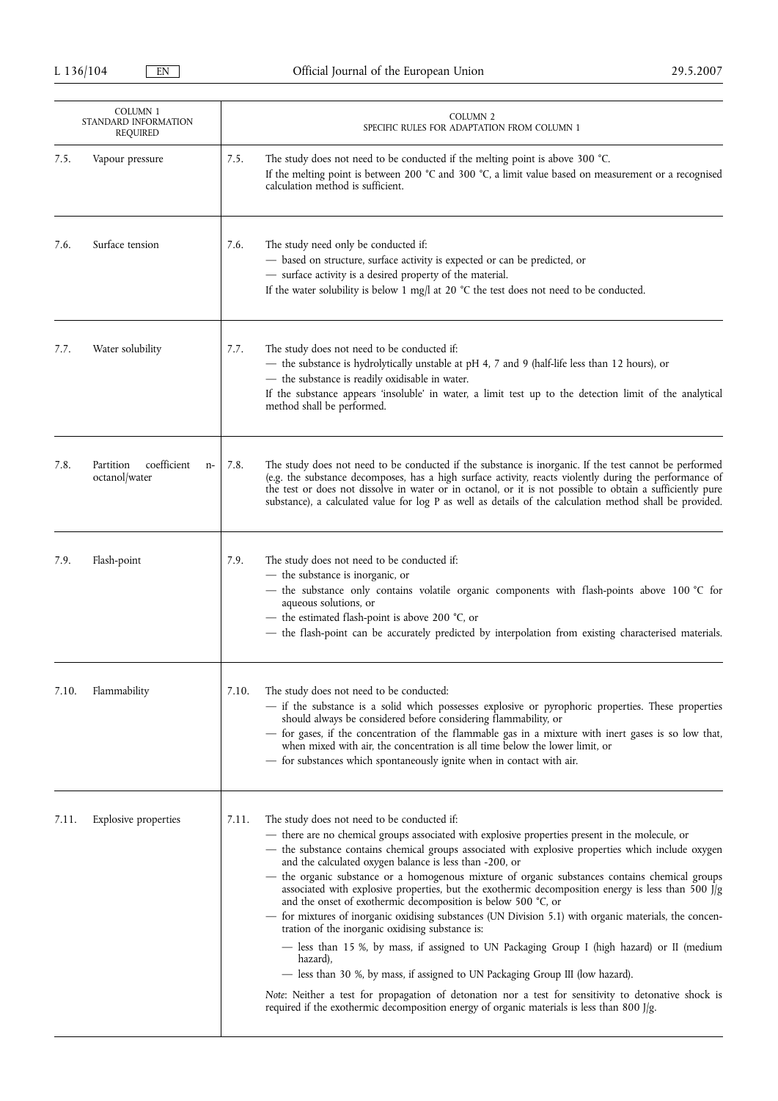|       | COLUMN 1<br>STANDARD INFORMATION<br>REQUIRED      | <b>COLUMN 2</b><br>SPECIFIC RULES FOR ADAPTATION FROM COLUMN 1                                                                                                                                                                                                                                                                                                                                                                                                                                                                                                                                                                                                                                                                                                                                                                                                                                                                                                                                                                                                                                                                                                  |
|-------|---------------------------------------------------|-----------------------------------------------------------------------------------------------------------------------------------------------------------------------------------------------------------------------------------------------------------------------------------------------------------------------------------------------------------------------------------------------------------------------------------------------------------------------------------------------------------------------------------------------------------------------------------------------------------------------------------------------------------------------------------------------------------------------------------------------------------------------------------------------------------------------------------------------------------------------------------------------------------------------------------------------------------------------------------------------------------------------------------------------------------------------------------------------------------------------------------------------------------------|
| 7.5.  | Vapour pressure                                   | 7.5.<br>The study does not need to be conducted if the melting point is above 300 °C.<br>If the melting point is between 200 $^{\circ}$ C and 300 $^{\circ}$ C, a limit value based on measurement or a recognised<br>calculation method is sufficient.                                                                                                                                                                                                                                                                                                                                                                                                                                                                                                                                                                                                                                                                                                                                                                                                                                                                                                         |
| 7.6.  | Surface tension                                   | 7.6.<br>The study need only be conducted if:<br>- based on structure, surface activity is expected or can be predicted, or<br>- surface activity is a desired property of the material.<br>If the water solubility is below 1 mg/l at 20 $^{\circ}$ C the test does not need to be conducted.                                                                                                                                                                                                                                                                                                                                                                                                                                                                                                                                                                                                                                                                                                                                                                                                                                                                   |
| 7.7.  | Water solubility                                  | 7.7.<br>The study does not need to be conducted if:<br>- the substance is hydrolytically unstable at pH 4, 7 and 9 (half-life less than 12 hours), or<br>- the substance is readily oxidisable in water.<br>If the substance appears 'insoluble' in water, a limit test up to the detection limit of the analytical<br>method shall be performed.                                                                                                                                                                                                                                                                                                                                                                                                                                                                                                                                                                                                                                                                                                                                                                                                               |
| 7.8.  | coefficient<br>Partition<br>$n-$<br>octanol/water | 7.8.<br>The study does not need to be conducted if the substance is inorganic. If the test cannot be performed<br>(e.g. the substance decomposes, has a high surface activity, reacts violently during the performance of<br>the test or does not dissolve in water or in octanol, or it is not possible to obtain a sufficiently pure<br>substance), a calculated value for log P as well as details of the calculation method shall be provided.                                                                                                                                                                                                                                                                                                                                                                                                                                                                                                                                                                                                                                                                                                              |
| 7.9.  | Flash-point                                       | 7.9.<br>The study does not need to be conducted if:<br>- the substance is inorganic, or<br>- the substance only contains volatile organic components with flash-points above 100 °C for<br>aqueous solutions, or<br>- the estimated flash-point is above 200 °C, or<br>- the flash-point can be accurately predicted by interpolation from existing characterised materials.                                                                                                                                                                                                                                                                                                                                                                                                                                                                                                                                                                                                                                                                                                                                                                                    |
| 7.10. | Flammability                                      | 7.10.<br>The study does not need to be conducted:<br>- if the substance is a solid which possesses explosive or pyrophoric properties. These properties<br>should always be considered before considering flammability, or<br>- for gases, if the concentration of the flammable gas in a mixture with inert gases is so low that,<br>when mixed with air, the concentration is all time below the lower limit, or<br>- for substances which spontaneously ignite when in contact with air.                                                                                                                                                                                                                                                                                                                                                                                                                                                                                                                                                                                                                                                                     |
| 7.11. | <b>Explosive properties</b>                       | The study does not need to be conducted if:<br>7.11.<br>- there are no chemical groups associated with explosive properties present in the molecule, or<br>- the substance contains chemical groups associated with explosive properties which include oxygen<br>and the calculated oxygen balance is less than -200, or<br>- the organic substance or a homogenous mixture of organic substances contains chemical groups<br>associated with explosive properties, but the exothermic decomposition energy is less than 500 J/g<br>and the onset of exothermic decomposition is below 500 °C, or<br>for mixtures of inorganic oxidising substances (UN Division 5.1) with organic materials, the concen-<br>tration of the inorganic oxidising substance is:<br>— less than 15 %, by mass, if assigned to UN Packaging Group I (high hazard) or II (medium<br>hazard),<br>— less than 30 %, by mass, if assigned to UN Packaging Group III (low hazard).<br>Note: Neither a test for propagation of detonation nor a test for sensitivity to detonative shock is<br>required if the exothermic decomposition energy of organic materials is less than 800 J/g. |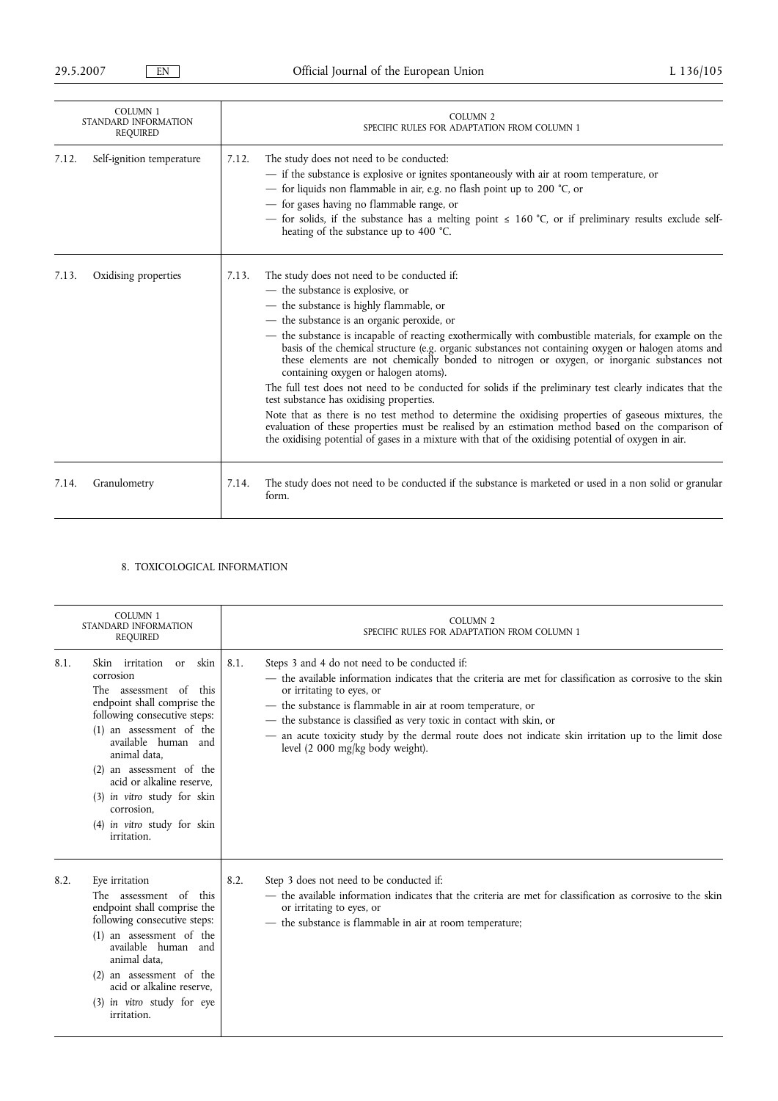| <b>COLUMN 1</b><br>STANDARD INFORMATION<br><b>REQUIRED</b> |                           |       | <b>COLUMN 2</b><br>SPECIFIC RULES FOR ADAPTATION FROM COLUMN 1                                                                                                                                                                                                                                                                                                                                                                                                                                                                                                                                                                                                                                                                                                                                                                                                                                                                                                                                                 |  |
|------------------------------------------------------------|---------------------------|-------|----------------------------------------------------------------------------------------------------------------------------------------------------------------------------------------------------------------------------------------------------------------------------------------------------------------------------------------------------------------------------------------------------------------------------------------------------------------------------------------------------------------------------------------------------------------------------------------------------------------------------------------------------------------------------------------------------------------------------------------------------------------------------------------------------------------------------------------------------------------------------------------------------------------------------------------------------------------------------------------------------------------|--|
| 7.12.                                                      | Self-ignition temperature | 7.12. | The study does not need to be conducted:<br>- if the substance is explosive or ignites spontaneously with air at room temperature, or<br>- for liquids non flammable in air, e.g. no flash point up to 200 °C, or<br>- for gases having no flammable range, or<br>- for solids, if the substance has a melting point $\leq 160$ °C, or if preliminary results exclude self-<br>heating of the substance up to 400 °C.                                                                                                                                                                                                                                                                                                                                                                                                                                                                                                                                                                                          |  |
| 7.13.                                                      | Oxidising properties      | 7.13. | The study does not need to be conducted if:<br>- the substance is explosive, or<br>- the substance is highly flammable, or<br>- the substance is an organic peroxide, or<br>- the substance is incapable of reacting exothermically with combustible materials, for example on the<br>basis of the chemical structure (e.g. organic substances not containing oxygen or halogen atoms and<br>these elements are not chemically bonded to nitrogen or oxygen, or inorganic substances not<br>containing oxygen or halogen atoms).<br>The full test does not need to be conducted for solids if the preliminary test clearly indicates that the<br>test substance has oxidising properties.<br>Note that as there is no test method to determine the oxidising properties of gaseous mixtures, the<br>evaluation of these properties must be realised by an estimation method based on the comparison of<br>the oxidising potential of gases in a mixture with that of the oxidising potential of oxygen in air. |  |
| 7.14.                                                      | Granulometry              | 7.14. | The study does not need to be conducted if the substance is marketed or used in a non solid or granular<br>form.                                                                                                                                                                                                                                                                                                                                                                                                                                                                                                                                                                                                                                                                                                                                                                                                                                                                                               |  |

# 8. TOXICOLOGICAL INFORMATION

|      | <b>COLUMN 1</b><br>STANDARD INFORMATION<br><b>REQUIRED</b>                                                                                                                                                                                                                                                                                                          | <b>COLUMN 2</b><br>SPECIFIC RULES FOR ADAPTATION FROM COLUMN 1                                                                                                                                                                                                                                                                                                                                                                                                                     |
|------|---------------------------------------------------------------------------------------------------------------------------------------------------------------------------------------------------------------------------------------------------------------------------------------------------------------------------------------------------------------------|------------------------------------------------------------------------------------------------------------------------------------------------------------------------------------------------------------------------------------------------------------------------------------------------------------------------------------------------------------------------------------------------------------------------------------------------------------------------------------|
| 8.1. | <b>Skin</b><br>irritation or skin<br>corrosion<br>The assessment of<br>this<br>endpoint shall comprise the<br>following consecutive steps:<br>(1) an assessment of the<br>available human and<br>animal data.<br>$(2)$ an assessment of the<br>acid or alkaline reserve,<br>(3) in vitro study for skin<br>corrosion,<br>(4) in vitro study for skin<br>irritation. | Steps 3 and 4 do not need to be conducted if:<br>8.1.<br>- the available information indicates that the criteria are met for classification as corrosive to the skin<br>or irritating to eyes, or<br>- the substance is flammable in air at room temperature, or<br>- the substance is classified as very toxic in contact with skin, or<br>an acute toxicity study by the dermal route does not indicate skin irritation up to the limit dose<br>level (2 000 mg/kg body weight). |
| 8.2. | Eye irritation<br>The assessment of this<br>endpoint shall comprise the<br>following consecutive steps:<br>(1) an assessment of the<br>available human and<br>animal data,<br>$(2)$ an assessment of the<br>acid or alkaline reserve,<br>(3) in vitro study for eye<br>irritation.                                                                                  | Step 3 does not need to be conducted if:<br>8.2.<br>- the available information indicates that the criteria are met for classification as corrosive to the skin<br>or irritating to eyes, or<br>- the substance is flammable in air at room temperature;                                                                                                                                                                                                                           |